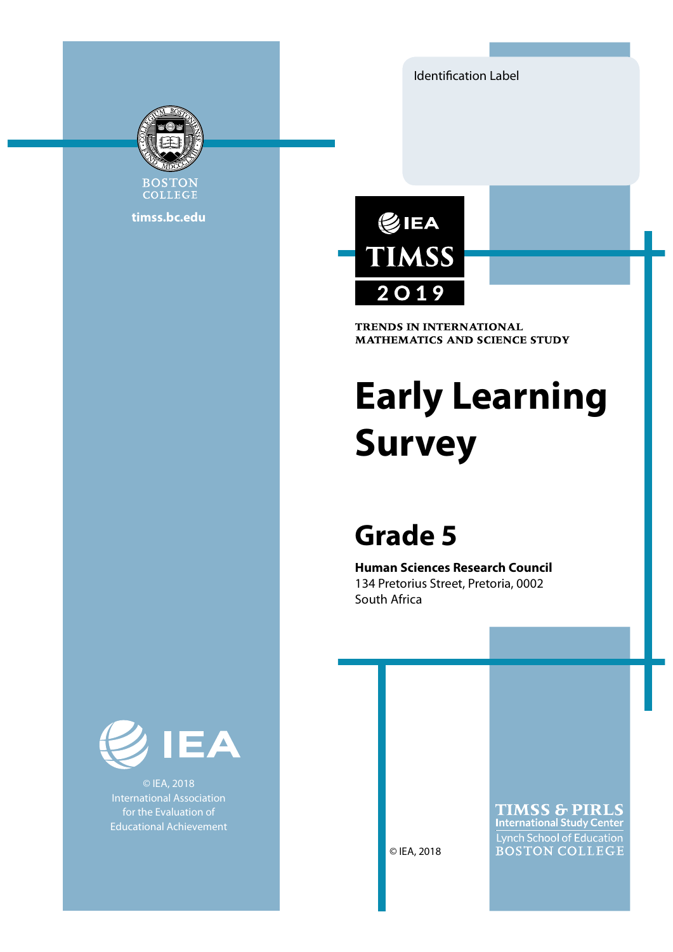Identification Label



COLLEGE timss.bc.edu



**TRENDS IN INTERNATIONAL MATHEMATICS AND SCIENCE STUDY** 

# Early Learning Survey

# Grade 5

Human Sciences Research Council 134 Pretorius Street, Pretoria, 0002 South Africa



© IEA, 2018 International Association for the Evaluation of Educational Achievement

**TIMSS & PIRLS International Study Center** Lynch School of Education **BOSTON COLLEGE** 

© IEA, 2018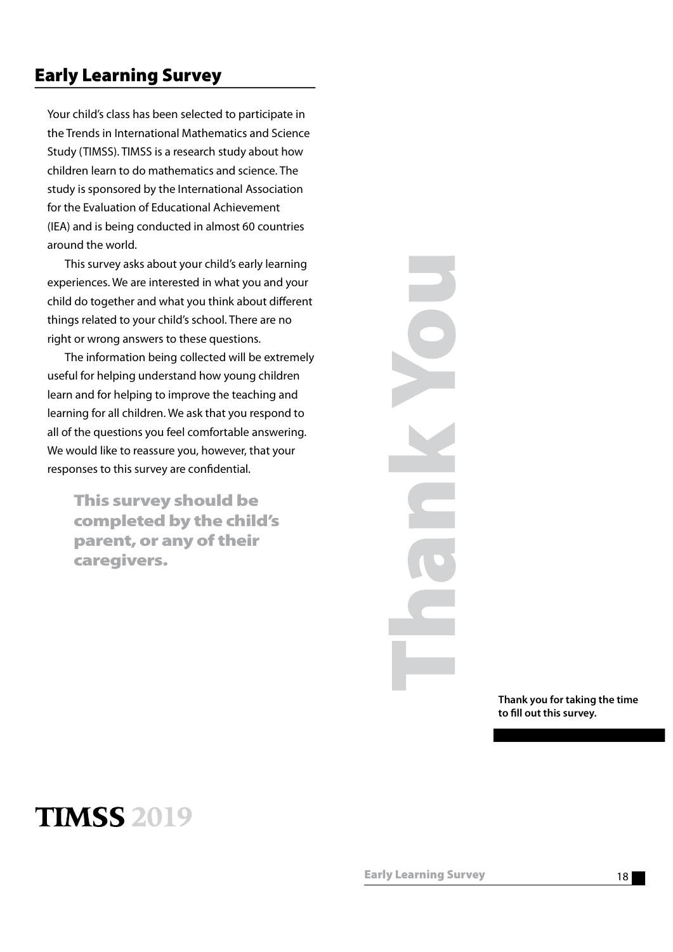### Early Learning Survey

Your child's class has been selected to participate in the Trends in International Mathematics and Science Study (TIMSS). TIMSS is a research study about how children learn to do mathematics and science. The study is sponsored by the International Association for the Evaluation of Educational Achievement (IEA) and is being conducted in almost 60 countries around the world.

This survey asks about your child's early learning experiences. We are interested in what you and your child do together and what you think about different things related to your child's school. There are no right or wrong answers to these questions.

The information being collected will be extremely useful for helping understand how young children learn and for helping to improve the teaching and learning for all children. We ask that you respond to all of the questions you feel comfortable answering. We would like to reassure you, however, that your responses to this survey are confidential.

This survey should be completed by the child's parent, or any of their caregivers.

Thank you for taking the time to fill out this survey.

## **TIMSS 2019**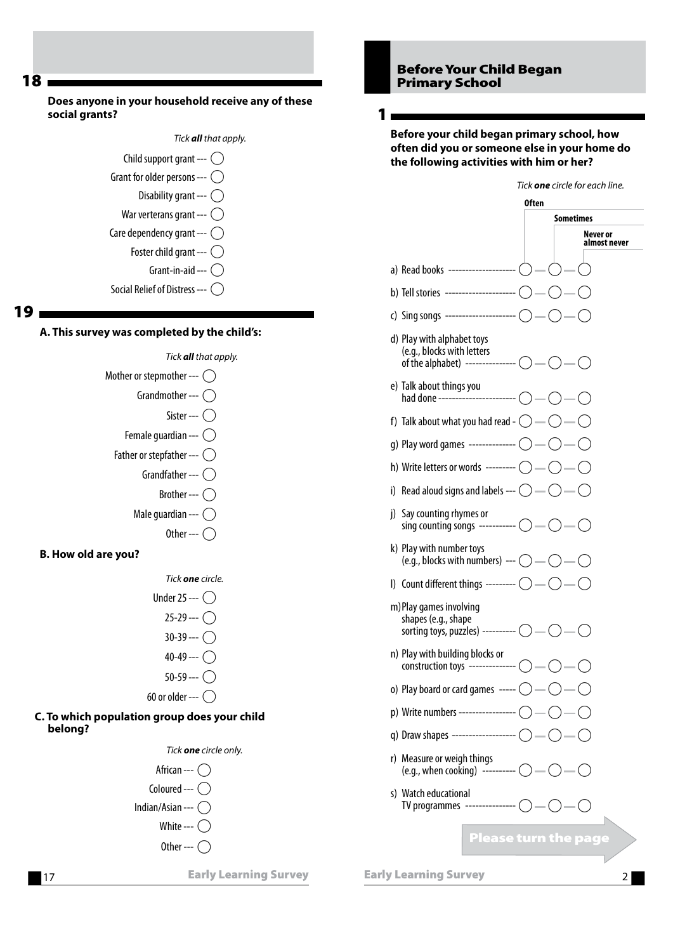#### Does anyone in your household receive any of these social grants?





Social Relief of Distress ---  $\bigcirc$ 

#### 19

#### A. This survey was completed by the child's:



40-49 ---  $\bigcap$  $50-59 - \bigcap$ 

### 60 or older --- $\bigcirc$

#### C. To which population group does your child belong?



#### Before Your Child Began Primary School

1

Before your child began primary school, how often did you or someone else in your home do the following activities with him or her?

|                                                                                                                                                | 0ften                       |  |
|------------------------------------------------------------------------------------------------------------------------------------------------|-----------------------------|--|
|                                                                                                                                                | Sometimes                   |  |
|                                                                                                                                                | Never or<br>almost never    |  |
| a) Read books --------------------- ( $\bigcirc$ — ( $\bigcirc$ — ( $\bigcirc$                                                                 |                             |  |
|                                                                                                                                                |                             |  |
| c) Sing songs ---------------------- ( $\bigcirc$ - $\bigcirc$ - $\bigcirc$                                                                    |                             |  |
| d) Play with alphabet toys<br>(e.g., blocks with letters<br>of the alphabet) --------------- $\bigcirc$ - $\bigcirc$ - $\bigcirc$ - $\bigcirc$ |                             |  |
| e) Talk about things you<br>had done ------------------------- ( ) — ( ) — ( )                                                                 |                             |  |
| f) Talk about what you had read - $\bigcirc$ — $\bigcirc$ — $\bigcirc$                                                                         |                             |  |
| g) Play word games -------------- $\bigcirc$ — $\bigcirc$ — $\bigcirc$                                                                         |                             |  |
|                                                                                                                                                |                             |  |
| i) Read aloud signs and labels --- $\bigcirc$ -- $\bigcirc$ -- $\bigcirc$                                                                      |                             |  |
| j) Say counting rhymes or<br>sing counting songs ----------- $\bigcirc$ -- $\bigcirc$ -- $\bigcirc$                                            |                             |  |
| k) Play with number toys<br>(e.g., blocks with numbers) --- $\bigcirc$ — $\bigcirc$ — $\bigcirc$                                               |                             |  |
| I) Count different things --------- $\bigcirc$ — $\bigcirc$ — $\bigcirc$                                                                       |                             |  |
| m) Play games involving<br>shapes (e.g., shape<br>sorting toys, puzzles) ---------- $\bigcirc$ — $\bigcirc$ — $\bigcirc$                       |                             |  |
| n) Play with building blocks or<br>construction toys -------------- $\bigcirc$ - $\bigcirc$                                                    |                             |  |
| o) Play board or card games $\overline{\phantom{a}}$ ---- $\overline{\phantom{a}}$ $\overline{\phantom{a}}$                                    |                             |  |
| p) Write numbers ----------------- (                                                                                                           |                             |  |
| q) Draw shapes ------------------------                                                                                                        |                             |  |
| r) Measure or weigh things<br>(e.g., when cooking) ---------- $\bigcirc$ -                                                                     |                             |  |
| s) Watch educational<br>TV programmes --------------- (                                                                                        |                             |  |
|                                                                                                                                                | <b>Please turn the page</b> |  |
|                                                                                                                                                |                             |  |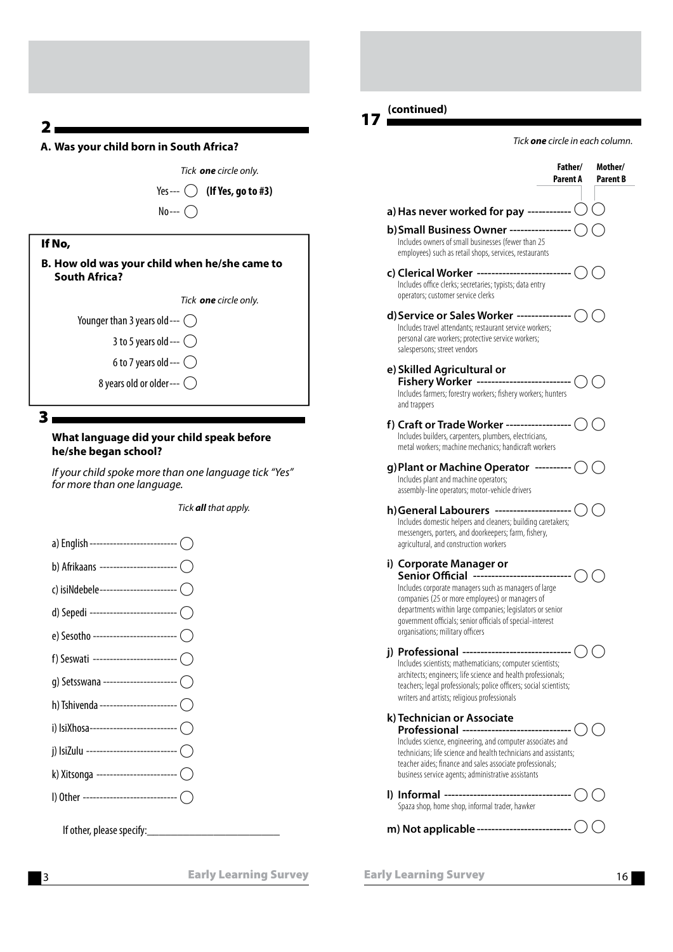#### A. Was your child born in South Africa?



| If No,                                                         |
|----------------------------------------------------------------|
| B. How old was your child when he/she came to<br>South Africa? |
| Tick <b>one</b> circle only.                                   |
| Younger than 3 years old --- $( )$                             |
| 3 to 5 years old --- $\bigcirc$                                |
| 6 to 7 years old --- $\bigcirc$                                |

8 years old or older ---  $\bigcirc$ 

3

#### What language did your child speak before he/she began school?

If your child spoke more than one language tick "Yes" for more than one language.

Tick **all** that apply.

a) English ----------------------------- ( b) Afrikaans ------------------------- ( c) isiNdebele-------------------------- ( d) Sepedi ----------------------------- ( e) Sesotho ---------------------------- ( f) Seswati ---------------------------- ( g) Setsswana ------------------------ ( h) Tshivenda ------------------------- ( i) IsiXhosa------------------------------ ( j) IsiZulu --------------------------- A k) Xitsonga -------------------------- ( l) Other ---------------------------- A If other, please specify:\_\_\_\_\_\_\_\_\_\_\_\_\_\_

#### 17 (continued)

Tick one circle in each column.

| Father/<br>Parent A                                                                                                                                                                                                                                                                                                                                  | Mother/<br><b>Parent B</b> |
|------------------------------------------------------------------------------------------------------------------------------------------------------------------------------------------------------------------------------------------------------------------------------------------------------------------------------------------------------|----------------------------|
| a) Has never worked for pay ------------ $\bigcirc$                                                                                                                                                                                                                                                                                                  |                            |
| b) Small Business Owner ------------------ (<br>Includes owners of small businesses (fewer than 25<br>employees) such as retail shops, services, restaurants                                                                                                                                                                                         |                            |
| c) Clerical Worker -------------------------- (<br>Includes office clerks; secretaries; typists; data entry<br>operators; customer service clerks                                                                                                                                                                                                    |                            |
| d) Service or Sales Worker --------------- (<br>Includes travel attendants; restaurant service workers;<br>personal care workers; protective service workers;<br>salespersons; street vendors                                                                                                                                                        |                            |
| e) Skilled Agricultural or<br>Includes farmers; forestry workers; fishery workers; hunters<br>and trappers                                                                                                                                                                                                                                           |                            |
| f) Craft or Trade Worker ------------------ (<br>Includes builders, carpenters, plumbers, electricians,<br>metal workers; machine mechanics; handicraft workers                                                                                                                                                                                      |                            |
| g)Plant or Machine Operator --------- $\bigcirc$ $\bigcirc$<br>Includes plant and machine operators;<br>assembly-line operators; motor-vehicle drivers                                                                                                                                                                                               |                            |
| h)General Labourers --------------------- (<br>Includes domestic helpers and cleaners; building caretakers;<br>messengers, porters, and doorkeepers; farm, fishery,<br>agricultural, and construction workers                                                                                                                                        |                            |
| i) Corporate Manager or<br>Senior Official ---------------------------- (<br>Includes corporate managers such as managers of large<br>companies (25 or more employees) or managers of<br>departments within large companies; legislators or senior<br>government officials; senior officials of special-interest<br>organisations; military officers |                            |
| j) Professional ------------------------------ (<br>Includes scientists; mathematicians; computer scientists;<br>architects; engineers; life science and health professionals;<br>teachers; legal professionals; police officers; social scientists;<br>writers and artists; religious professionals                                                 |                            |
| k) Technician or Associate<br>Professional ----------------<br>Includes science, engineering, and computer associates and<br>technicians; life science and health technicians and assistants;<br>teacher aides; finance and sales associate professionals;<br>business service agents; administrative assistants                                     |                            |
| l) Informal ---------------------------------<br>Spaza shop, home shop, informal trader, hawker                                                                                                                                                                                                                                                      |                            |
| m) Not applicable -------------------------                                                                                                                                                                                                                                                                                                          |                            |

Early Learning Survey **16**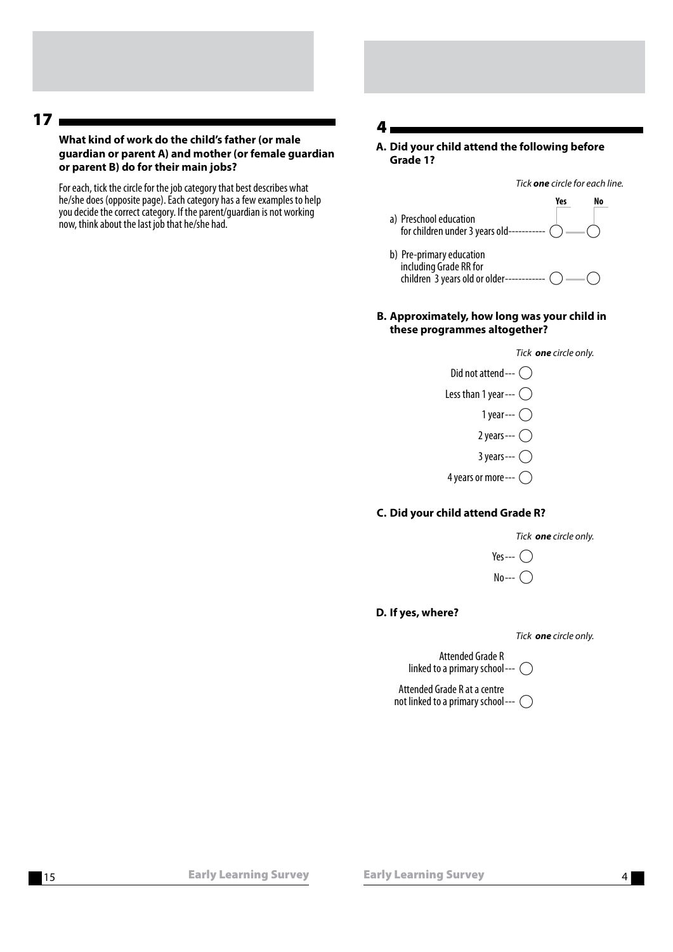#### What kind of work do the child's father (or male guardian or parent A) and mother (or female guardian or parent B) do for their main jobs?

For each, tick the circle for the job category that best describes what he/she does (opposite page). Each category has a few examples to help you decide the correct category. If the parent/guardian is not working now, think about the last job that he/she had.

#### 4

 A. Did your child attend the following before Grade 1?

Tick one circle for each line.

- Yes No a) Preschool education for children under 3 years old -----------
- b) Pre-primary education including Grade RR for children  $\tilde{ }$  3 years old or older------------  $\bigcirc$  ---
- B. Approximately, how long was your child in these programmes altogether?



#### C. Did your child attend Grade R?



- Yes --- $\bigcap$
- $No--$

#### D. If yes, where?

Tick one circle only.

 Attended Grade R linked to a primary school ---  $\bigcap$ 

 Attended Grade R at a centre not linked to a primary school ---  $\bigcirc$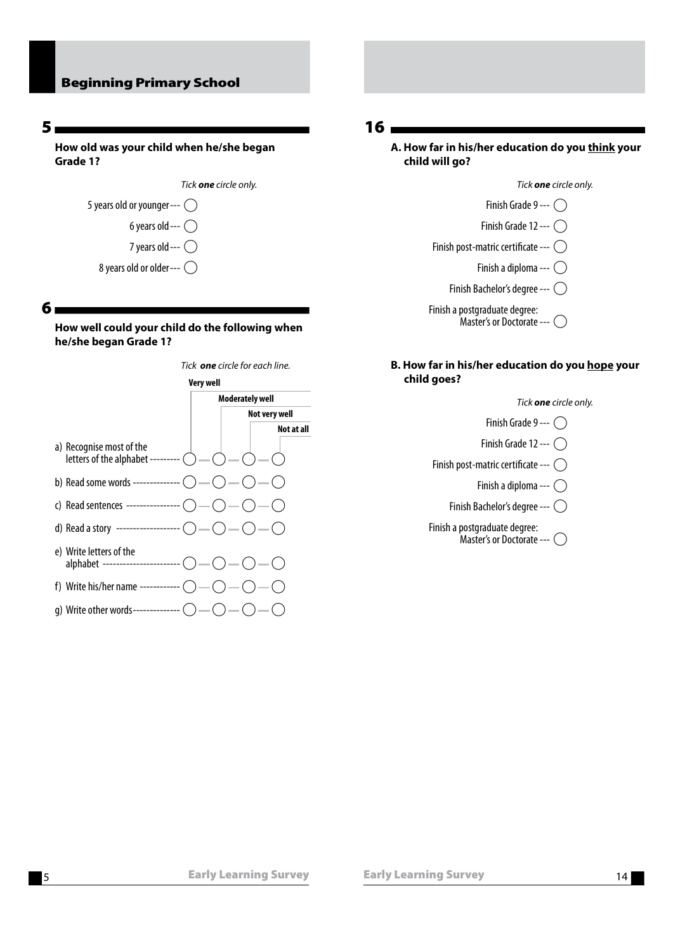#### Beginning Primary School

#### 5

How old was your child when he/she began Grade 1?

|                                    | Tick <b>one</b> circle only. |
|------------------------------------|------------------------------|
| 5 years old or younger--- $( )$    |                              |
| 6 years old --- $\bigcirc$         |                              |
| 7 years old --- $\bigcirc$         |                              |
| 8 years old or older--- $\bigcirc$ |                              |

#### 6

How well could your child do the following when he/she began Grade 1?



#### 16

#### A. How far in his/her education do you think your child will go?

Tick **one** circle only.

- Finish Grade 9 ---  $\bigcap$
- Finish Grade 12 ---  $\bigcap$
- Finish post-matric certificate ---  $\bigcirc$ 
	- Finish a diploma --- $\bigcap$
	- Finish Bachelor's degree ---  $\bigcap$

 Finish a postgraduate degree:  $M$ aster's or Doctorate ---

#### B. How far in his/her education do you hope your child goes?

Tick one circle only.

Finish Grade 9 ---  $\bigcap$ 

- Finish Grade 12 ---  $\bigcap$
- Finish post-matric certificate ---  $\bigcirc$ 
	- Finish a diploma ---  $\bigcirc$
	- Finish Bachelor's degree ---  $\bigcap$
- Finish a postgraduate degree:  $M$ aster's or Doctorate ---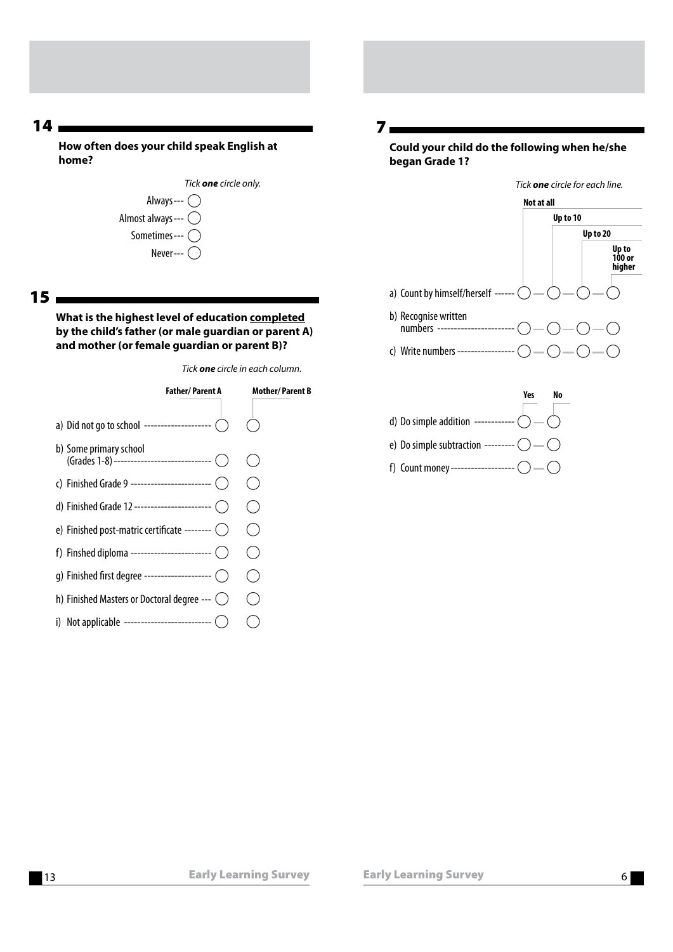How often does your child speak English at home?

 $15 -$ 

What is the highest level of education completed by the child's father (or male guardian or parent A) and mother (or female guardian or parent B)?

Tick one circle in each column.



Could your child do the following when he/she began Grade 1?

7



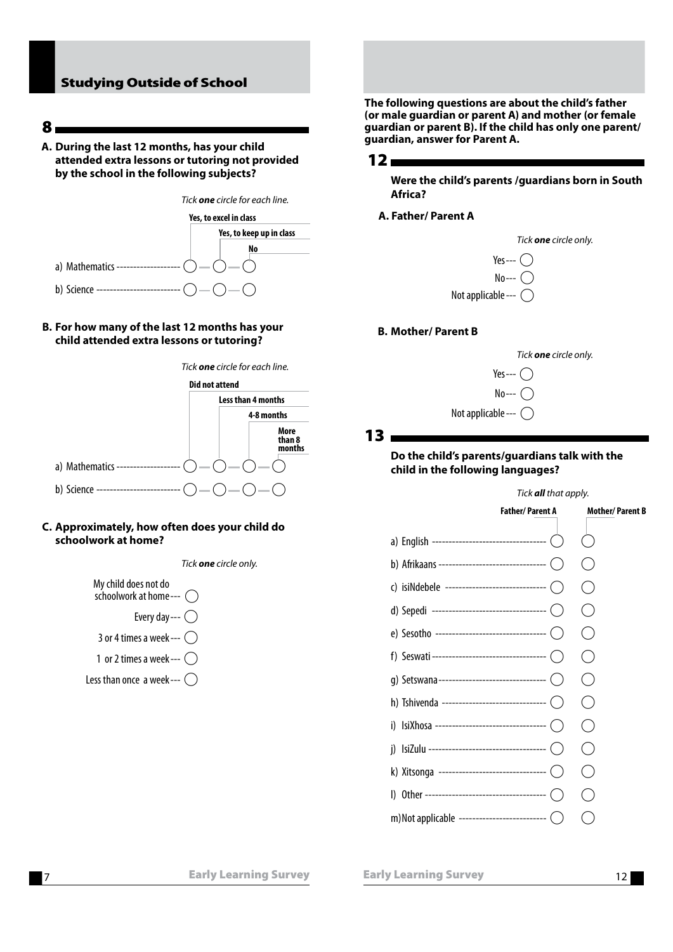#### Studying Outside of School

8

 A. During the last 12 months, has your child attended extra lessons or tutoring not provided by the school in the following subjects?



#### B. For how many of the last 12 months has your child attended extra lessons or tutoring?



#### C. Approximately, how often does your child do schoolwork at home?

Tick one circle only.



The following questions are about the child's father (or male guardian or parent A) and mother (or female guardian or parent B). If the child has only one parent/ guardian, answer for Parent A.



Were the child's parents /guardians born in South Africa?

A. Father/ Parent A

|                               | Tick <b>one</b> circle only. |
|-------------------------------|------------------------------|
| Yes--- $\bigcap$              |                              |
| $No--$                        |                              |
| Not applicable --- $\bigcirc$ |                              |

#### B. Mother/ Parent B



13 —

#### Do the child's parents/guardians talk with the child in the following languages?

#### Tick **all** that apply.



7 Early Learning Survey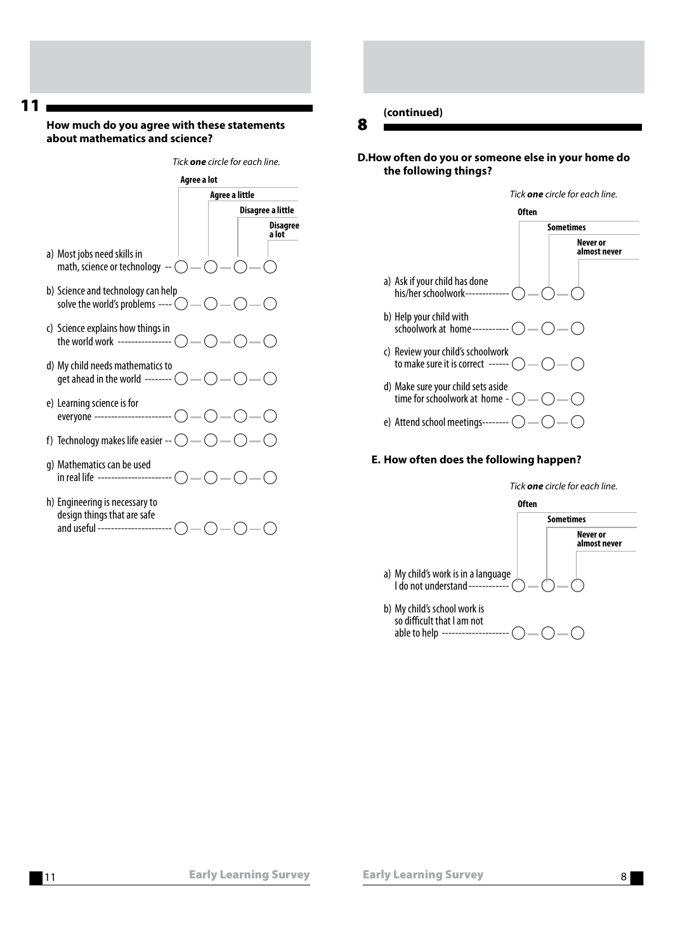#### How much do you agree with these statements about mathematics and science?



h) Engineering is necessary to design things that are safe and useful ---------------------- $\bigcap$  -- $\bigcap$  -- $\bigcap$  -- $\bigcap$ 

#### (continued)

8

#### D. How often do you or someone else in your home do the following things?

#### Tick **one** circle for each line.

- Often Sometimes Never or almost never a) Ask if your child has done his/her schoolwork -------b) Help your child with schoolwork at home ----------- $\bigcirc$  -  $\bigcirc$  -  $\bigcirc$ c) Review your child's schoolwork
- to make sure it is correct  $--- ($ d) Make sure your child sets aside time for schoolwork at home -  $\bigcirc$  -  $\bigcirc$  -  $\bigcirc$
- e) Attend school meetings-------- (

#### E. How often does the following happen?